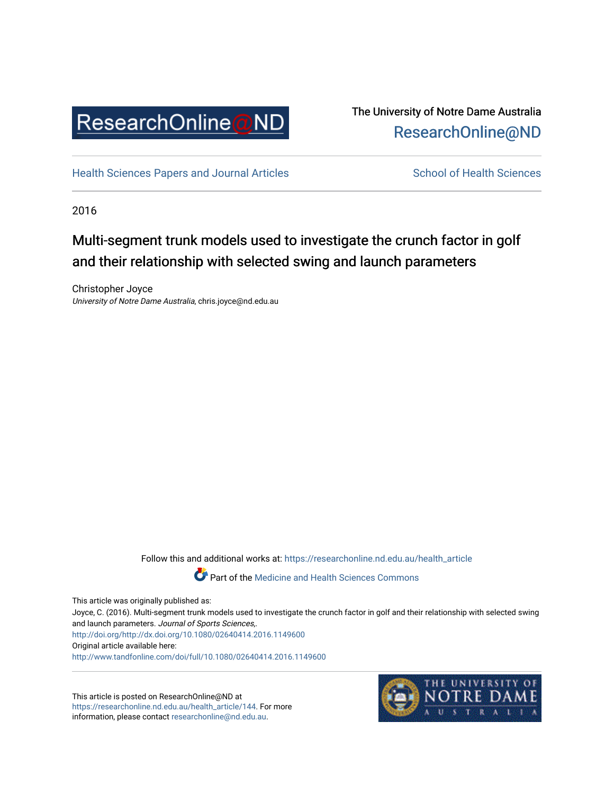

## The University of Notre Dame Australia [ResearchOnline@ND](https://researchonline.nd.edu.au/)

[Health Sciences Papers and Journal Articles](https://researchonline.nd.edu.au/health_article) School of Health Sciences

2016

# Multi-segment trunk models used to investigate the crunch factor in golf and their relationship with selected swing and launch parameters

Christopher Joyce University of Notre Dame Australia, chris.joyce@nd.edu.au

Follow this and additional works at: [https://researchonline.nd.edu.au/health\\_article](https://researchonline.nd.edu.au/health_article?utm_source=researchonline.nd.edu.au%2Fhealth_article%2F144&utm_medium=PDF&utm_campaign=PDFCoverPages)

**Part of the [Medicine and Health Sciences Commons](http://network.bepress.com/hgg/discipline/648?utm_source=researchonline.nd.edu.au%2Fhealth_article%2F144&utm_medium=PDF&utm_campaign=PDFCoverPages)** 

This article was originally published as:

Joyce, C. (2016). Multi-segment trunk models used to investigate the crunch factor in golf and their relationship with selected swing and launch parameters. Journal of Sports Sciences,.

<http://doi.org/http://dx.doi.org/10.1080/02640414.2016.1149600> Original article available here:

<http://www.tandfonline.com/doi/full/10.1080/02640414.2016.1149600>

This article is posted on ResearchOnline@ND at [https://researchonline.nd.edu.au/health\\_article/144](https://researchonline.nd.edu.au/health_article/144). For more information, please contact [researchonline@nd.edu.au.](mailto:researchonline@nd.edu.au)

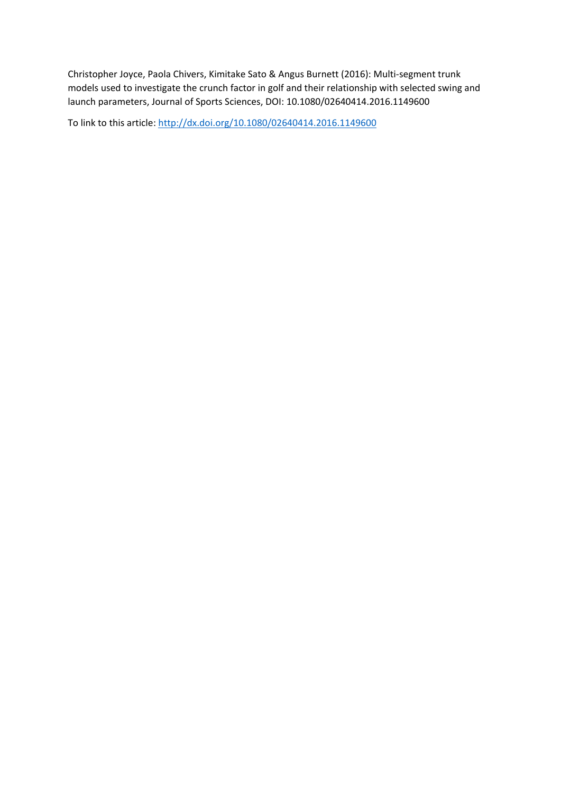Christopher Joyce, Paola Chivers, Kimitake Sato & Angus Burnett (2016): Multi-segment trunk models used to investigate the crunch factor in golf and their relationship with selected swing and launch parameters, Journal of Sports Sciences, DOI: 10.1080/02640414.2016.1149600

To link to this article:<http://dx.doi.org/10.1080/02640414.2016.1149600>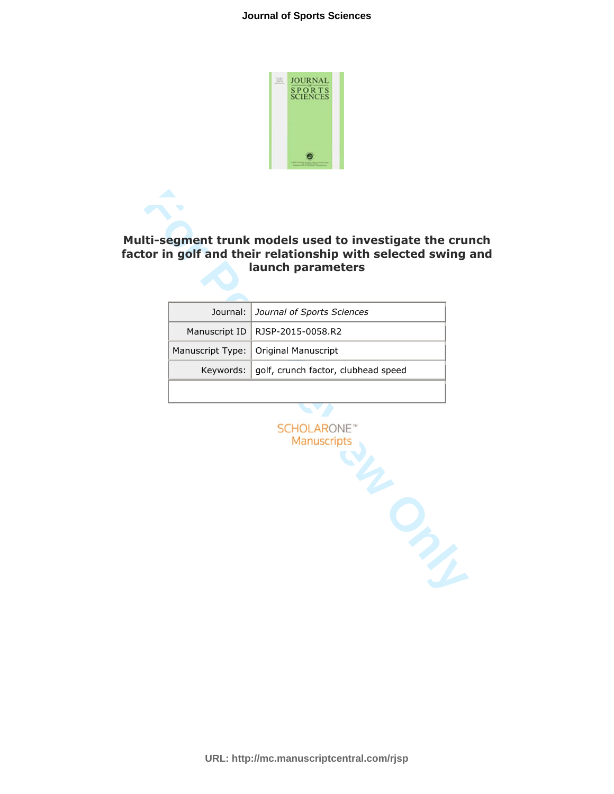

## **Multi-segment trunk models used to investigate the crunch factor in golf and their relationship with selected swing and launch parameters**

| Journal: Journal of Sports Sciences             |
|-------------------------------------------------|
| Manuscript ID   RJSP-2015-0058.R2               |
| Manuscript Type: Original Manuscript            |
| Keywords:   golf, crunch factor, clubhead speed |
|                                                 |

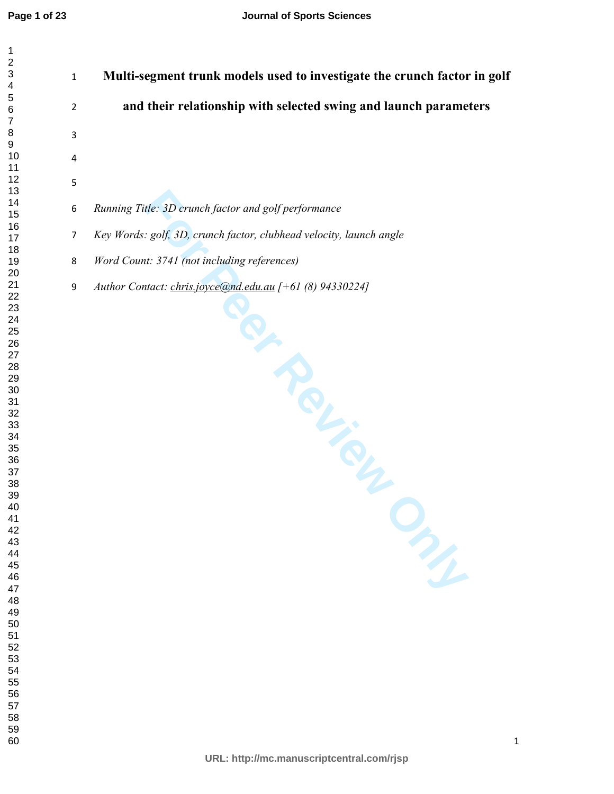| 1<br>$\overline{\mathbf{c}}$<br>3<br>4 |
|----------------------------------------|
|                                        |
|                                        |
|                                        |
|                                        |
| 5                                      |
| 6                                      |
| 7                                      |
| 8                                      |
| 9                                      |
|                                        |
|                                        |
|                                        |
|                                        |
|                                        |
|                                        |
|                                        |
|                                        |
|                                        |
|                                        |
|                                        |
|                                        |
|                                        |
|                                        |
|                                        |
|                                        |
|                                        |
|                                        |
|                                        |

**Multi-segment trunk models used to investigate the crunch factor in golf and their relationship with selected swing and launch parameters** 

- *Running Title: 3D crunch factor and golf performance*
- *Key Words: golf, 3D, crunch factor, clubhead velocity, launch angle*
- *Word Count: 3741 (not including references)*
- Montreal Review Only *Author Contact: chris.joyce@nd.edu.au [+61 (8) 94330224]*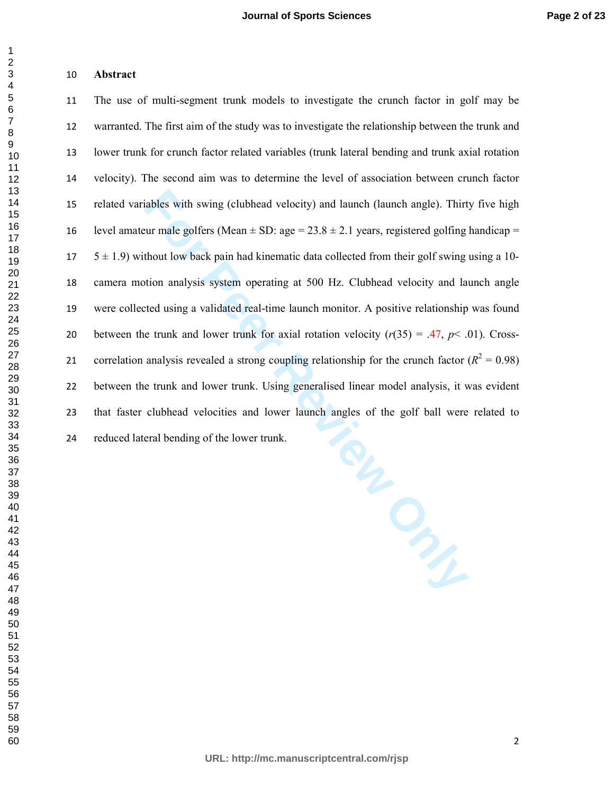#### **Abstract**

**For Peer Review Only** The use of multi-segment trunk models to investigate the crunch factor in golf may be warranted. The first aim of the study was to investigate the relationship between the trunk and lower trunk for crunch factor related variables (trunk lateral bending and trunk axial rotation velocity). The second aim was to determine the level of association between crunch factor related variables with swing (clubhead velocity) and launch (launch angle). Thirty five high 16 level amateur male golfers (Mean  $\pm$  SD: age = 23.8  $\pm$  2.1 years, registered golfing handicap =  $17 \quad 5 \pm 1.9$ ) without low back pain had kinematic data collected from their golf swing using a 10-camera motion analysis system operating at 500 Hz. Clubhead velocity and launch angle were collected using a validated real-time launch monitor. A positive relationship was found 20 between the trunk and lower trunk for axial rotation velocity  $(r(35) = .47, p < .01)$ . Cross-21 correlation analysis revealed a strong coupling relationship for the crunch factor  $(R^2 = 0.98)$ between the trunk and lower trunk. Using generalised linear model analysis, it was evident that faster clubhead velocities and lower launch angles of the golf ball were related to reduced lateral bending of the lower trunk.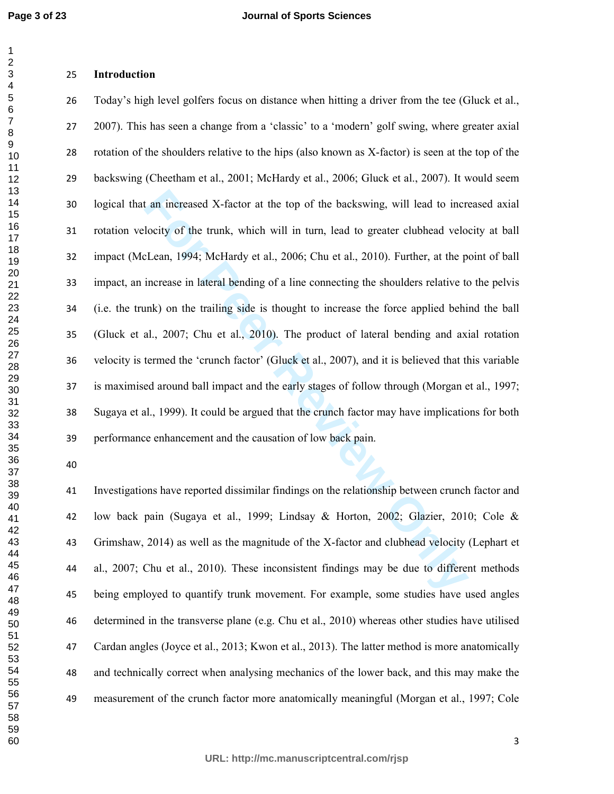### **Introduction**

**Example 1** an increased X-factor at the top of the backswing, will lead to increased incomplete trank, which will in turn, lead to greater clubhead velocities of Lean, 1994; McHardy et al., 2006; Chu et al., 2010). Furthe Today's high level golfers focus on distance when hitting a driver from the tee (Gluck et al., 2007). This has seen a change from a 'classic' to a 'modern' golf swing, where greater axial rotation of the shoulders relative to the hips (also known as X-factor) is seen at the top of the backswing (Cheetham et al., 2001; McHardy et al., 2006; Gluck et al., 2007). It would seem logical that an increased X-factor at the top of the backswing, will lead to increased axial rotation velocity of the trunk, which will in turn, lead to greater clubhead velocity at ball impact (McLean, 1994; McHardy et al., 2006; Chu et al., 2010). Further, at the point of ball impact, an increase in lateral bending of a line connecting the shoulders relative to the pelvis (i.e. the trunk) on the trailing side is thought to increase the force applied behind the ball (Gluck et al., 2007; Chu et al., 2010). The product of lateral bending and axial rotation velocity is termed the 'crunch factor' (Gluck et al., 2007), and it is believed that this variable is maximised around ball impact and the early stages of follow through (Morgan et al., 1997; Sugaya et al., 1999). It could be argued that the crunch factor may have implications for both performance enhancement and the causation of low back pain.

Investigations have reported dissimilar findings on the relationship between crunch factor and low back pain (Sugaya et al., 1999; Lindsay & Horton, 2002; Glazier, 2010; Cole & Grimshaw, 2014) as well as the magnitude of the X-factor and clubhead velocity (Lephart et al., 2007; Chu et al., 2010). These inconsistent findings may be due to different methods being employed to quantify trunk movement. For example, some studies have used angles determined in the transverse plane (e.g. Chu et al., 2010) whereas other studies have utilised Cardan angles (Joyce et al., 2013; Kwon et al., 2013). The latter method is more anatomically and technically correct when analysing mechanics of the lower back, and this may make the measurement of the crunch factor more anatomically meaningful (Morgan et al., 1997; Cole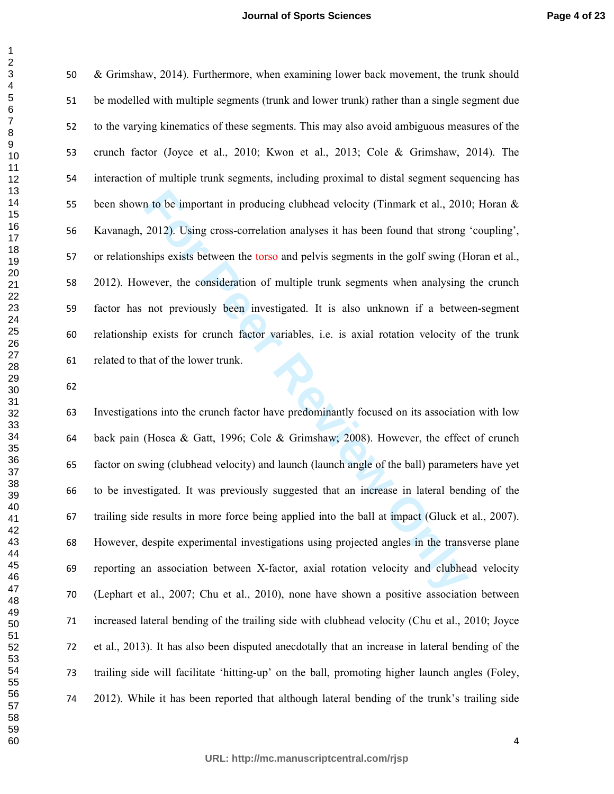#### **Journal of Sports Sciences**

& Grimshaw, 2014). Furthermore, when examining lower back movement, the trunk should be modelled with multiple segments (trunk and lower trunk) rather than a single segment due to the varying kinematics of these segments. This may also avoid ambiguous measures of the crunch factor (Joyce et al., 2010; Kwon et al., 2013; Cole & Grimshaw, 2014). The interaction of multiple trunk segments, including proximal to distal segment sequencing has 55 been shown to be important in producing clubhead velocity (Tinmark et al., 2010; Horan & Kavanagh, 2012). Using cross-correlation analyses it has been found that strong 'coupling', or relationships exists between the torso and pelvis segments in the golf swing (Horan et al., 2012). However, the consideration of multiple trunk segments when analysing the crunch factor has not previously been investigated. It is also unknown if a between-segment relationship exists for crunch factor variables, i.e. is axial rotation velocity of the trunk related to that of the lower trunk.

In to be important in producing clubhead velocity (Timmark et al., 2010<br>2012). Using cross-correlation analyses it has been found that strong<br>bihys exists between the torso and pelvis segments in the golf swing (H<br>wever, t Investigations into the crunch factor have predominantly focused on its association with low back pain (Hosea & Gatt, 1996; Cole & Grimshaw; 2008). However, the effect of crunch factor on swing (clubhead velocity) and launch (launch angle of the ball) parameters have yet to be investigated. It was previously suggested that an increase in lateral bending of the trailing side results in more force being applied into the ball at impact (Gluck et al., 2007). However, despite experimental investigations using projected angles in the transverse plane reporting an association between X-factor, axial rotation velocity and clubhead velocity (Lephart et al., 2007; Chu et al., 2010), none have shown a positive association between increased lateral bending of the trailing side with clubhead velocity (Chu et al., 2010; Joyce et al., 2013). It has also been disputed anecdotally that an increase in lateral bending of the trailing side will facilitate 'hitting-up' on the ball, promoting higher launch angles (Foley, 2012). While it has been reported that although lateral bending of the trunk's trailing side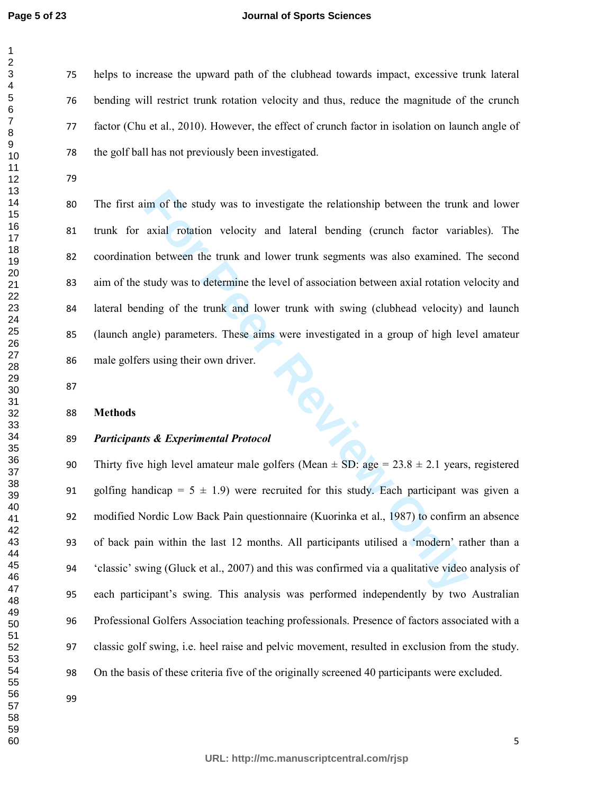#### **Journal of Sports Sciences**

helps to increase the upward path of the clubhead towards impact, excessive trunk lateral bending will restrict trunk rotation velocity and thus, reduce the magnitude of the crunch factor (Chu et al., 2010). However, the effect of crunch factor in isolation on launch angle of the golf ball has not previously been investigated.

For the study was to investigate the relationship between the trunk<br>axial rotation velocity and lateral bending (crunch factor varia<br>in between the trunk and lower trunk segments was also examined. 1<br>study was to determin The first aim of the study was to investigate the relationship between the trunk and lower trunk for axial rotation velocity and lateral bending (crunch factor variables). The coordination between the trunk and lower trunk segments was also examined. The second aim of the study was to determine the level of association between axial rotation velocity and lateral bending of the trunk and lower trunk with swing (clubhead velocity) and launch (launch angle) parameters. These aims were investigated in a group of high level amateur male golfers using their own driver. 86 male goners usin<sub>o</sub>.<br>87<br>88 **Methods**<br>89 *Participants & Experimental Protocol* 

#### **Methods**

90 Thirty five high level amateur male golfers (Mean  $\pm$  SD: age = 23.8  $\pm$  2.1 years, registered 91 golfing handicap =  $5 \pm 1.9$ ) were recruited for this study. Each participant was given a modified Nordic Low Back Pain questionnaire (Kuorinka et al., 1987) to confirm an absence of back pain within the last 12 months. All participants utilised a 'modern' rather than a 'classic' swing (Gluck et al., 2007) and this was confirmed via a qualitative video analysis of each participant's swing. This analysis was performed independently by two Australian Professional Golfers Association teaching professionals. Presence of factors associated with a classic golf swing, i.e. heel raise and pelvic movement, resulted in exclusion from the study. On the basis of these criteria five of the originally screened 40 participants were excluded.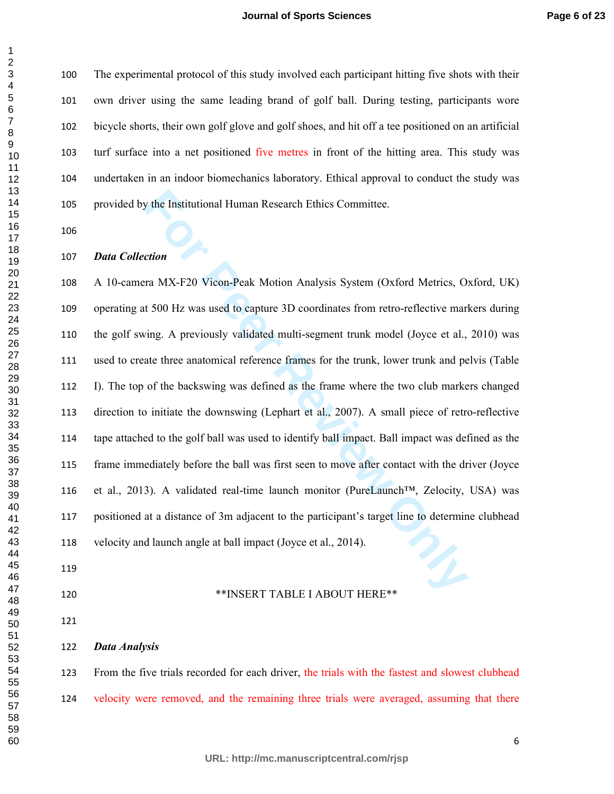The experimental protocol of this study involved each participant hitting five shots with their own driver using the same leading brand of golf ball. During testing, participants wore bicycle shorts, their own golf glove and golf shoes, and hit off a tee positioned on an artificial turf surface into a net positioned five metres in front of the hitting area. This study was undertaken in an indoor biomechanics laboratory. Ethical approval to conduct the study was provided by the Institutional Human Research Ethics Committee.

#### *Data Collection*

or the Institutional Human Research Ethics Committee.<br> **For ATAX-F20 Vicon-Peak Motion Analysis System (Oxford Metrics, O:**<br> **For ATAX-F20 Vicon-Peak Motion Analysis System (Oxford Metrics, O:**<br> **For Perrovice ATAS ADV** re A 10-camera MX-F20 Vicon-Peak Motion Analysis System (Oxford Metrics, Oxford, UK) operating at 500 Hz was used to capture 3D coordinates from retro-reflective markers during the golf swing. A previously validated multi-segment trunk model (Joyce et al., 2010) was used to create three anatomical reference frames for the trunk, lower trunk and pelvis (Table I). The top of the backswing was defined as the frame where the two club markers changed direction to initiate the downswing (Lephart et al., 2007). A small piece of retro-reflective tape attached to the golf ball was used to identify ball impact. Ball impact was defined as the frame immediately before the ball was first seen to move after contact with the driver (Joyce et al., 2013). A validated real-time launch monitor (PureLaunch™, Zelocity, USA) was positioned at a distance of 3m adjacent to the participant's target line to determine clubhead velocity and launch angle at ball impact (Joyce et al., 2014).

- 
- \*\*INSERT TABLE I ABOUT HERE\*\*
- 

*Data Analysis* 

123 From the five trials recorded for each driver, the trials with the fastest and slowest clubhead velocity were removed, and the remaining three trials were averaged, assuming that there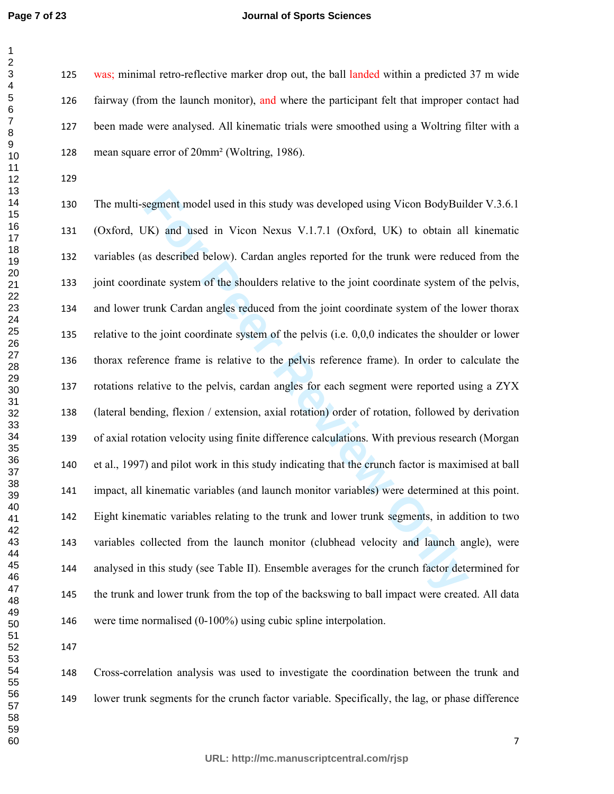#### **Journal of Sports Sciences**

125 was; minimal retro-reflective marker drop out, the ball landed within a predicted 37 m wide fairway (from the launch monitor), and where the participant felt that improper contact had been made were analysed. All kinematic trials were smoothed using a Woltring filter with a mean square error of 20mm² (Woltring, 1986).

For Forthalo and in this study was developed using Vicon BodyBuil<br> *FK*) and used in Vicon Nexus V.1.7.1 (Oxford, UK) to obtain all<br>
as described below). Cardan angles reported for the trunk were reduce<br>
inate system of th The multi-segment model used in this study was developed using Vicon BodyBuilder V.3.6.1 (Oxford, UK) and used in Vicon Nexus V.1.7.1 (Oxford, UK) to obtain all kinematic variables (as described below). Cardan angles reported for the trunk were reduced from the joint coordinate system of the shoulders relative to the joint coordinate system of the pelvis, and lower trunk Cardan angles reduced from the joint coordinate system of the lower thorax relative to the joint coordinate system of the pelvis (i.e. 0,0,0 indicates the shoulder or lower thorax reference frame is relative to the pelvis reference frame). In order to calculate the rotations relative to the pelvis, cardan angles for each segment were reported using a ZYX (lateral bending, flexion / extension, axial rotation) order of rotation, followed by derivation of axial rotation velocity using finite difference calculations. With previous research (Morgan et al., 1997) and pilot work in this study indicating that the crunch factor is maximised at ball impact, all kinematic variables (and launch monitor variables) were determined at this point. Eight kinematic variables relating to the trunk and lower trunk segments, in addition to two variables collected from the launch monitor (clubhead velocity and launch angle), were analysed in this study (see Table II). Ensemble averages for the crunch factor determined for the trunk and lower trunk from the top of the backswing to ball impact were created. All data were time normalised (0-100%) using cubic spline interpolation.

Cross-correlation analysis was used to investigate the coordination between the trunk and lower trunk segments for the crunch factor variable. Specifically, the lag, or phase difference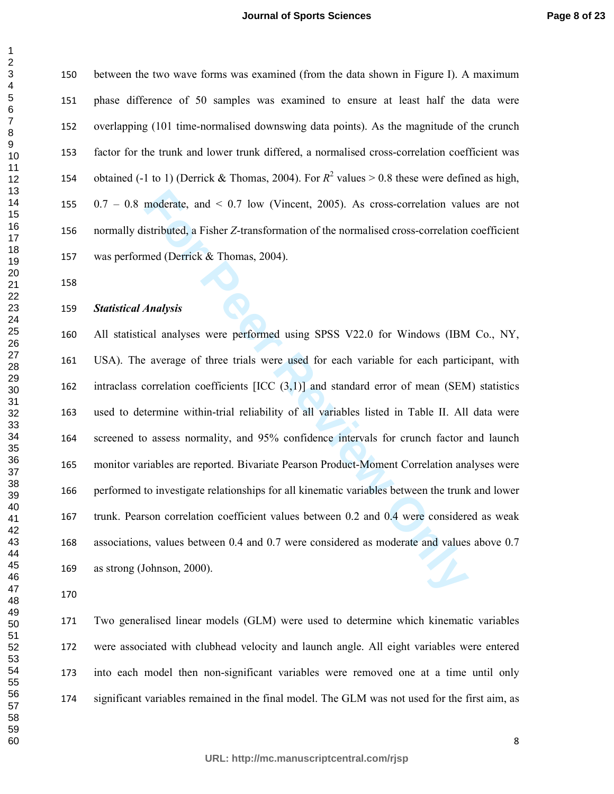between the two wave forms was examined (from the data shown in Figure I). A maximum phase difference of 50 samples was examined to ensure at least half the data were overlapping (101 time-normalised downswing data points). As the magnitude of the crunch factor for the trunk and lower trunk differed, a normalised cross-correlation coefficient was 154 obtained (-1 to 1) (Derrick & Thomas, 2004). For  $R^2$  values > 0.8 these were defined as high, 0.7 – 0.8 moderate, and < 0.7 low (Vincent, 2005). As cross-correlation values are not normally distributed, a Fisher *Z*-transformation of the normalised cross-correlation coefficient was performed (Derrick & Thomas, 2004).

#### *Statistical Analysis*

moderate, and < 0.7 low (Vincent, 2005). As cross-correlation values intributed, a Fisher Z-transformation of the normalised cross-correlation med (Derrick & Thomas, 2004).<br> **Analysis**<br>
cal analyses were performed using SP All statistical analyses were performed using SPSS V22.0 for Windows (IBM Co., NY, USA). The average of three trials were used for each variable for each participant, with intraclass correlation coefficients [ICC (3,1)] and standard error of mean (SEM) statistics used to determine within-trial reliability of all variables listed in Table II. All data were screened to assess normality, and 95% confidence intervals for crunch factor and launch monitor variables are reported. Bivariate Pearson Product-Moment Correlation analyses were performed to investigate relationships for all kinematic variables between the trunk and lower trunk. Pearson correlation coefficient values between 0.2 and 0.4 were considered as weak associations, values between 0.4 and 0.7 were considered as moderate and values above 0.7 as strong (Johnson, 2000).

Two generalised linear models (GLM) were used to determine which kinematic variables were associated with clubhead velocity and launch angle. All eight variables were entered into each model then non-significant variables were removed one at a time until only significant variables remained in the final model. The GLM was not used for the first aim, as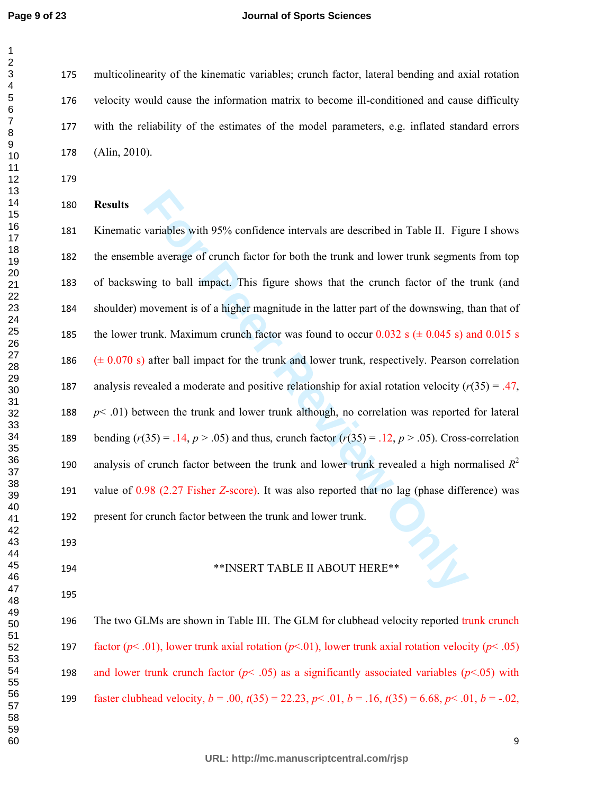#### **Journal of Sports Sciences**

multicolinearity of the kinematic variables; crunch factor, lateral bending and axial rotation velocity would cause the information matrix to become ill-conditioned and cause difficulty with the reliability of the estimates of the model parameters, e.g. inflated standard errors (Alin, 2010).

#### **Results**

variables with 95% confidence intervals are described in Table II. Figure laverage of crunch factor for both the trunk and lower trunk segmenting to ball impact. This figure shows that the crunch factor of the novement is Kinematic variables with 95% confidence intervals are described in Table II. Figure I shows the ensemble average of crunch factor for both the trunk and lower trunk segments from top of backswing to ball impact. This figure shows that the crunch factor of the trunk (and shoulder) movement is of a higher magnitude in the latter part of the downswing, than that of 185 the lower trunk. Maximum crunch factor was found to occur  $0.032$  s ( $\pm 0.045$  s) and 0.015 s 186  $(\pm 0.070 \text{ s})$  after ball impact for the trunk and lower trunk, respectively. Pearson correlation 187 analysis revealed a moderate and positive relationship for axial rotation velocity  $(r(35) = .47)$ , 188  $p<.01$ ) between the trunk and lower trunk although, no correlation was reported for lateral 189 bending  $(r(35) = .14, p > .05)$  and thus, crunch factor  $(r(35) = .12, p > .05)$ . Cross-correlation analysis of crunch factor between the trunk and lower trunk revealed a high normalised *R* 2 value of 0.98 (2.27 Fisher *Z-*score). It was also reported that no lag (phase difference) was present for crunch factor between the trunk and lower trunk.

- \*\*INSERT TABLE II ABOUT HERE\*\*
- 

# The two GLMs are shown in Table III. The GLM for clubhead velocity reported trunk crunch 197 factor ( $p$ < .01), lower trunk axial rotation ( $p$ <.01), lower trunk axial rotation velocity ( $p$ < .05) 198 and lower trunk crunch factor  $(p< .05)$  as a significantly associated variables  $(p< .05)$  with 199 faster clubhead velocity,  $b = .00$ ,  $t(35) = 22.23$ ,  $p < .01$ ,  $b = .16$ ,  $t(35) = 6.68$ ,  $p < .01$ ,  $b = -.02$ ,

**URL: http://mc.manuscriptcentral.com/rjsp**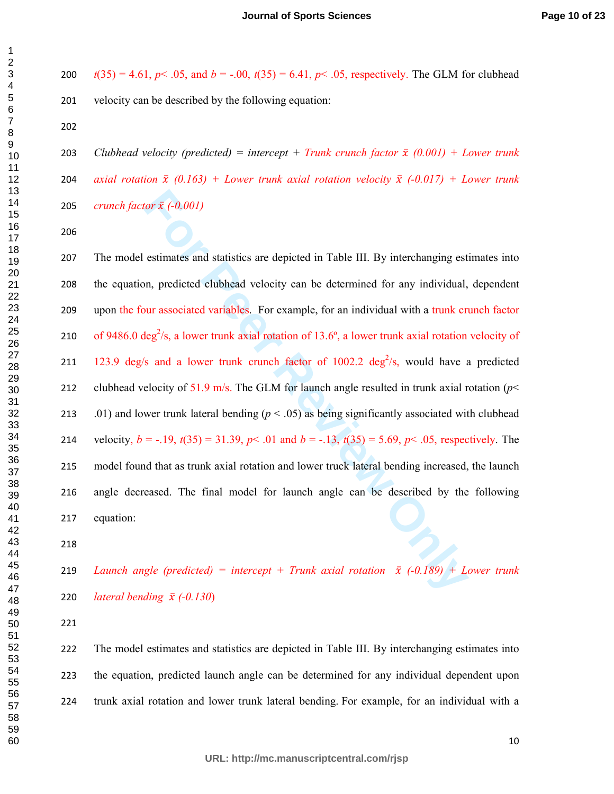200  $t(35) = 4.61$ ,  $p < .05$ , and  $b = -.00$ ,  $t(35) = 6.41$ ,  $p < .05$ , respectively. The GLM for clubhead velocity can be described by the following equation:

203 *Clubhead velocity (predicted) = intercept + Trunk crunch factor*  $\bar{x}$  (0.001) + Lower trunk 204 *axial rotation*  $\bar{x}$  (0.163) + Lower trunk axial rotation velocity  $\bar{x}$  (-0.017) + Lower trunk *crunch factor* ̅ *(-0.001)*

for  $\bar{x}$  (-0.001)<br> **For A** (-0.001)<br> **For A** (-0.001)<br> **For A** (-0.001)<br> **For Example, for an individual with a trunk crime of the syntem of the synthetic density of strengths. For example, for an individual with a trun** The model estimates and statistics are depicted in Table III. By interchanging estimates into the equation, predicted clubhead velocity can be determined for any individual, dependent upon the four associated variables. For example, for an individual with a trunk crunch factor 210 of 9486.0 deg<sup>2</sup>/s, a lower trunk axial rotation of 13.6°, a lower trunk axial rotation velocity of 211 123.9 deg/s and a lower trunk crunch factor of 1002.2 deg<sup>2</sup>/s, would have a predicted clubhead velocity of 51.9 m/s. The GLM for launch angle resulted in trunk axial rotation (*p*< .01) and lower trunk lateral bending (*p* < .05) as being significantly associated with clubhead 214 velocity,  $b = -.19$ ,  $t(35) = 31.39$ ,  $p < .01$  and  $b = -.13$ ,  $t(35) = 5.69$ ,  $p < .05$ , respectively. The model found that as trunk axial rotation and lower truck lateral bending increased, the launch angle decreased. The final model for launch angle can be described by the following equation:

219 *Launch angle (predicted)* = *intercept* + *Trunk axial rotation*  $\bar{x}$  (-0.189) + Lower trunk *lateral bending* ̅ *(-0.130*)

The model estimates and statistics are depicted in Table III. By interchanging estimates into the equation, predicted launch angle can be determined for any individual dependent upon trunk axial rotation and lower trunk lateral bending. For example, for an individual with a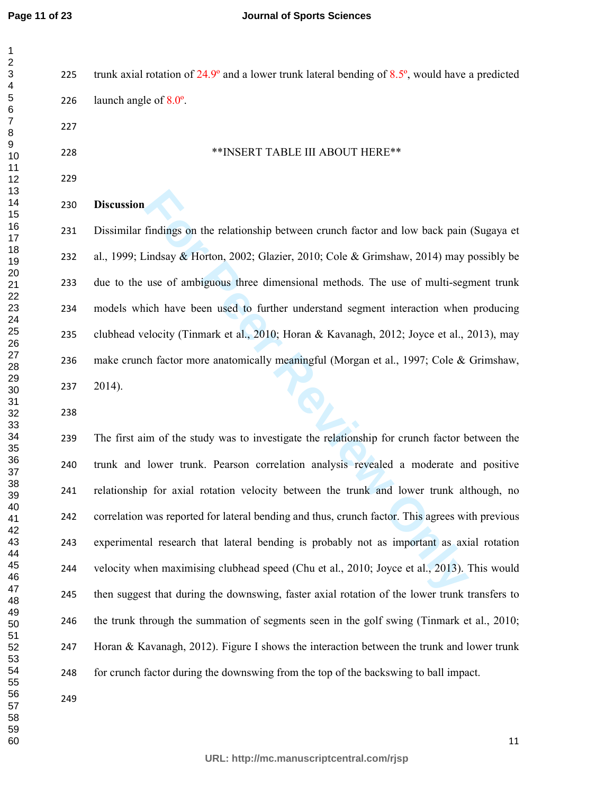| $\overline{ }$       |  |
|----------------------|--|
| Š                    |  |
|                      |  |
|                      |  |
| 、4<br>5<br>6ァ        |  |
|                      |  |
|                      |  |
|                      |  |
|                      |  |
|                      |  |
|                      |  |
|                      |  |
|                      |  |
|                      |  |
|                      |  |
|                      |  |
|                      |  |
|                      |  |
|                      |  |
|                      |  |
|                      |  |
|                      |  |
|                      |  |
|                      |  |
|                      |  |
|                      |  |
|                      |  |
|                      |  |
|                      |  |
|                      |  |
|                      |  |
|                      |  |
|                      |  |
|                      |  |
|                      |  |
|                      |  |
|                      |  |
|                      |  |
|                      |  |
|                      |  |
|                      |  |
|                      |  |
|                      |  |
|                      |  |
|                      |  |
| 40                   |  |
| 41                   |  |
| 4,                   |  |
| 43<br>ξ              |  |
| 44                   |  |
| 45                   |  |
|                      |  |
| 46                   |  |
| 47                   |  |
| 48                   |  |
| 49                   |  |
| 50                   |  |
|                      |  |
| 51                   |  |
| 5,<br>$\overline{ }$ |  |
| 53<br>3              |  |
| 54                   |  |
| 55                   |  |
| 56                   |  |
|                      |  |
| 57                   |  |
| 58                   |  |
| 59                   |  |

225 trunk axial rotation of  $24.9^\circ$  and a lower trunk lateral bending of  $8.5^\circ$ , would have a predicted 226 launch angle of  $8.0^\circ$ .

\*\*INSERT TABLE III ABOUT HERE\*\*

#### 

#### **Discussion**

Dissimilar findings on the relationship between crunch factor and low back pain (Sugaya et al., 1999; Lindsay & Horton, 2002; Glazier, 2010; Cole & Grimshaw, 2014) may possibly be due to the use of ambiguous three dimensional methods. The use of multi-segment trunk models which have been used to further understand segment interaction when producing clubhead velocity (Tinmark et al., 2010; Horan & Kavanagh, 2012; Joyce et al., 2013), may 236 make crunch factor more anatomically meaningful (Morgan et al., 1997; Cole & Grimshaw, 2014).

findings on the relationship between crunch factor and low back pain<br>indsay & Horton, 2002; Glazier, 2010; Cole & Grimshaw, 2014) may use of ambiguous three dimensional methods. The use of multi-seg<br>ich have been used to f The first aim of the study was to investigate the relationship for crunch factor between the trunk and lower trunk. Pearson correlation analysis revealed a moderate and positive relationship for axial rotation velocity between the trunk and lower trunk although, no correlation was reported for lateral bending and thus, crunch factor. This agrees with previous experimental research that lateral bending is probably not as important as axial rotation velocity when maximising clubhead speed (Chu et al., 2010; Joyce et al., 2013). This would then suggest that during the downswing, faster axial rotation of the lower trunk transfers to the trunk through the summation of segments seen in the golf swing (Tinmark et al., 2010; Horan & Kavanagh, 2012). Figure I shows the interaction between the trunk and lower trunk for crunch factor during the downswing from the top of the backswing to ball impact.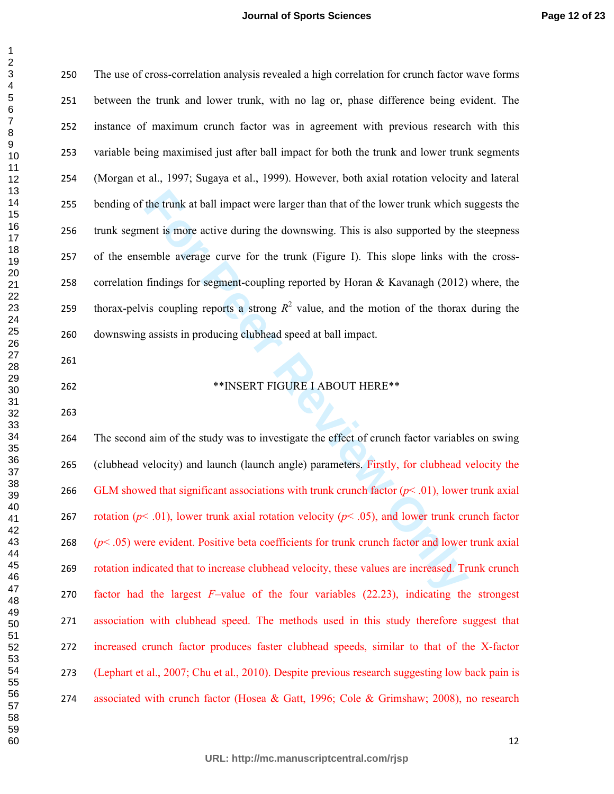| 3<br>3<br>4<br>5                |
|---------------------------------|
|                                 |
|                                 |
| $\epsilon$<br>;                 |
| 7<br>8                          |
|                                 |
| 9<br>10<br>11<br>12             |
|                                 |
|                                 |
|                                 |
|                                 |
| 13<br>$\mathbf{\hat{z}}$        |
| $\frac{14}{15}$                 |
|                                 |
|                                 |
| 16<br>17                        |
| 18                              |
|                                 |
| $-192222222567890133334$        |
|                                 |
|                                 |
|                                 |
|                                 |
|                                 |
|                                 |
|                                 |
|                                 |
|                                 |
|                                 |
|                                 |
|                                 |
|                                 |
|                                 |
|                                 |
| 3<br>34<br>35<br>36<br>37<br>38 |
|                                 |
|                                 |
|                                 |
|                                 |
|                                 |
|                                 |
| 40                              |
| $4^{\circ}$<br>1                |
| $\ddot{a}$<br>Ž                 |
| $4\degree$<br>3                 |
| 44                              |
| 45                              |
|                                 |
| 46                              |
| 47                              |
| 48                              |
| 49                              |
| 50                              |
| 51                              |
| 52<br>53                        |
|                                 |
| 54                              |
| 55                              |
|                                 |
| 56                              |
| –<br>57                         |
| 58<br>ξ                         |
| 59<br>€                         |
| 6<br>šť<br>)                    |

  $\overline{Q}$ 

| 250 | The use of cross-correlation analysis revealed a high correlation for crunch factor wave forms         |
|-----|--------------------------------------------------------------------------------------------------------|
| 251 | between the trunk and lower trunk, with no lag or, phase difference being evident. The                 |
| 252 | instance of maximum crunch factor was in agreement with previous research with this                    |
| 253 | variable being maximised just after ball impact for both the trunk and lower trunk segments            |
| 254 | (Morgan et al., 1997; Sugaya et al., 1999). However, both axial rotation velocity and lateral          |
| 255 | bending of the trunk at ball impact were larger than that of the lower trunk which suggests the        |
| 256 | trunk segment is more active during the downswing. This is also supported by the steepness             |
| 257 | of the ensemble average curve for the trunk (Figure I). This slope links with the cross-               |
| 258 | correlation findings for segment-coupling reported by Horan & Kavanagh (2012) where, the               |
| 259 | thorax-pelvis coupling reports a strong $R^2$ value, and the motion of the thorax during the           |
| 260 | downswing assists in producing clubhead speed at ball impact.                                          |
| 261 |                                                                                                        |
| 262 | **INSERT FIGURE I ABOUT HERE**                                                                         |
| 263 |                                                                                                        |
| 264 | The second aim of the study was to investigate the effect of crunch factor variables on swing          |
| 265 | (clubhead velocity) and launch (launch angle) parameters. Firstly, for clubhead velocity the           |
| 266 | GLM showed that significant associations with trunk crunch factor $(p<.01)$ , lower trunk axial        |
| 267 | rotation ( $p$ < .01), lower trunk axial rotation velocity ( $p$ < .05), and lower trunk crunch factor |
| 268 | $(p<.05)$ were evident. Positive beta coefficients for trunk crunch factor and lower trunk axial       |
| 269 | rotation indicated that to increase clubhead velocity, these values are increased. Trunk crunch        |
| 270 | factor had the largest $F$ -value of the four variables $(22.23)$ , indicating the strongest           |

**URL: http://mc.manuscriptcentral.com/rjsp**

association with clubhead speed. The methods used in this study therefore suggest that

increased crunch factor produces faster clubhead speeds, similar to that of the X-factor

(Lephart et al., 2007; Chu et al., 2010). Despite previous research suggesting low back pain is

associated with crunch factor (Hosea & Gatt, 1996; Cole & Grimshaw; 2008), no research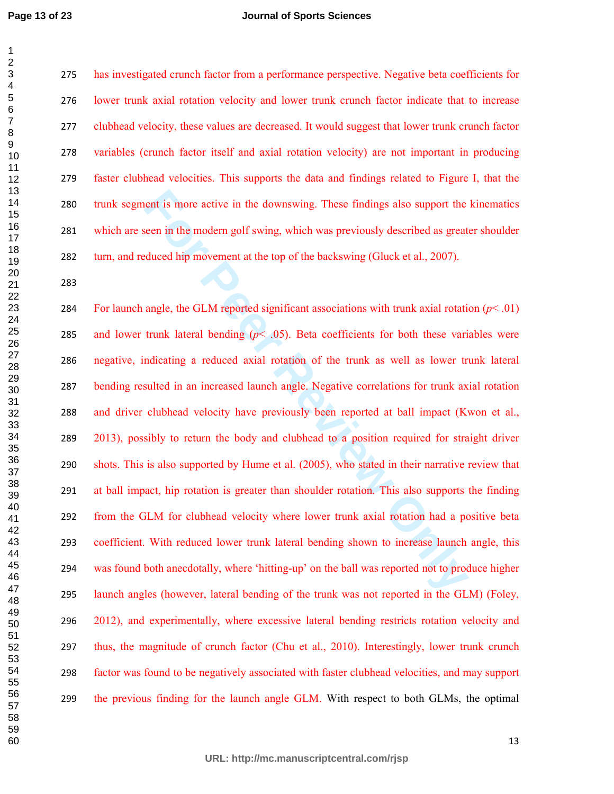#### **Journal of Sports Sciences**

has investigated crunch factor from a performance perspective. Negative beta coefficients for lower trunk axial rotation velocity and lower trunk crunch factor indicate that to increase clubhead velocity, these values are decreased. It would suggest that lower trunk crunch factor variables (crunch factor itself and axial rotation velocity) are not important in producing faster clubhead velocities. This supports the data and findings related to Figure I, that the trunk segment is more active in the downswing. These findings also support the kinematics which are seen in the modern golf swing, which was previously described as greater shoulder turn, and reduced hip movement at the top of the backswing (Gluck et al., 2007).

nent is more active in the downswing. These findings also support the seen in the modern golf swing, which was previously described as great duced hip movement at the top of the backswing (Gluck et al., 2007). angle, the G 284 For launch angle, the GLM reported significant associations with trunk axial rotation  $(p< .01)$ 285 and lower trunk lateral bending  $(p< .05)$ . Beta coefficients for both these variables were negative, indicating a reduced axial rotation of the trunk as well as lower trunk lateral bending resulted in an increased launch angle. Negative correlations for trunk axial rotation and driver clubhead velocity have previously been reported at ball impact (Kwon et al., 2013), possibly to return the body and clubhead to a position required for straight driver shots. This is also supported by Hume et al. (2005), who stated in their narrative review that at ball impact, hip rotation is greater than shoulder rotation. This also supports the finding from the GLM for clubhead velocity where lower trunk axial rotation had a positive beta coefficient. With reduced lower trunk lateral bending shown to increase launch angle, this was found both anecdotally, where 'hitting-up' on the ball was reported not to produce higher launch angles (however, lateral bending of the trunk was not reported in the GLM) (Foley, 2012), and experimentally, where excessive lateral bending restricts rotation velocity and thus, the magnitude of crunch factor (Chu et al., 2010). Interestingly, lower trunk crunch factor was found to be negatively associated with faster clubhead velocities, and may support the previous finding for the launch angle GLM. With respect to both GLMs, the optimal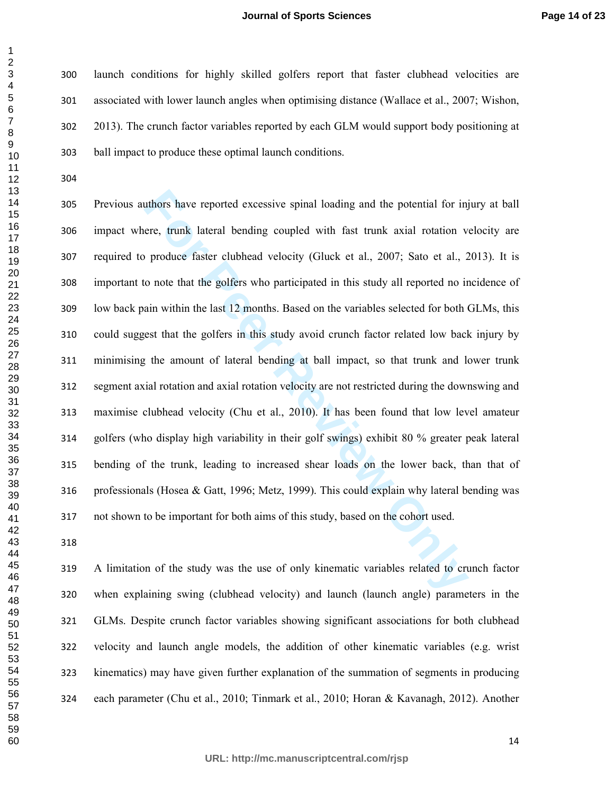launch conditions for highly skilled golfers report that faster clubhead velocities are associated with lower launch angles when optimising distance (Wallace et al., 2007; Wishon, 2013). The crunch factor variables reported by each GLM would support body positioning at ball impact to produce these optimal launch conditions.

uthors have reported excessive spinal loading and the potential for injere, trunk lateral bending coupled with fast trunk axial rotation v<br>produce faster clubhead velocity (Gluck et al., 2007; Sato et al., 2<br>o note that th Previous authors have reported excessive spinal loading and the potential for injury at ball impact where, trunk lateral bending coupled with fast trunk axial rotation velocity are required to produce faster clubhead velocity (Gluck et al., 2007; Sato et al., 2013). It is important to note that the golfers who participated in this study all reported no incidence of low back pain within the last 12 months. Based on the variables selected for both GLMs, this could suggest that the golfers in this study avoid crunch factor related low back injury by minimising the amount of lateral bending at ball impact, so that trunk and lower trunk segment axial rotation and axial rotation velocity are not restricted during the downswing and maximise clubhead velocity (Chu et al., 2010). It has been found that low level amateur golfers (who display high variability in their golf swings) exhibit 80 % greater peak lateral bending of the trunk, leading to increased shear loads on the lower back, than that of professionals (Hosea & Gatt, 1996; Metz, 1999). This could explain why lateral bending was not shown to be important for both aims of this study, based on the cohort used.

A limitation of the study was the use of only kinematic variables related to crunch factor when explaining swing (clubhead velocity) and launch (launch angle) parameters in the GLMs. Despite crunch factor variables showing significant associations for both clubhead velocity and launch angle models, the addition of other kinematic variables (e.g. wrist kinematics) may have given further explanation of the summation of segments in producing each parameter (Chu et al., 2010; Tinmark et al., 2010; Horan & Kavanagh, 2012). Another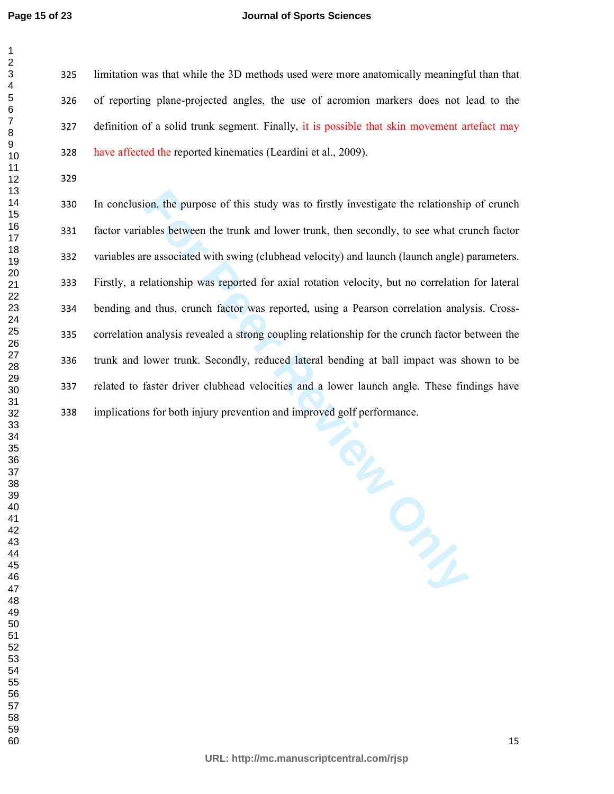#### **Journal of Sports Sciences**

limitation was that while the 3D methods used were more anatomically meaningful than that of reporting plane-projected angles, the use of acromion markers does not lead to the definition of a solid trunk segment. Finally, it is possible that skin movement artefact may have affected the reported kinematics (Leardini et al., 2009).

In conclusion, the purpose of this study was to firstly investigate the relationship of crunch factor variables between the trunk and lower trunk, then secondly, to see what crunch factor variables are associated with swing (clubhead velocity) and launch (launch angle) parameters. Firstly, a relationship was reported for axial rotation velocity, but no correlation for lateral bending and thus, crunch factor was reported, using a Pearson correlation analysis. Cross-correlation analysis revealed a strong coupling relationship for the crunch factor between the trunk and lower trunk. Secondly, reduced lateral bending at ball impact was shown to be related to faster driver clubhead velocities and a lower launch angle. These findings have implications for both injury prevention and improved golf performance.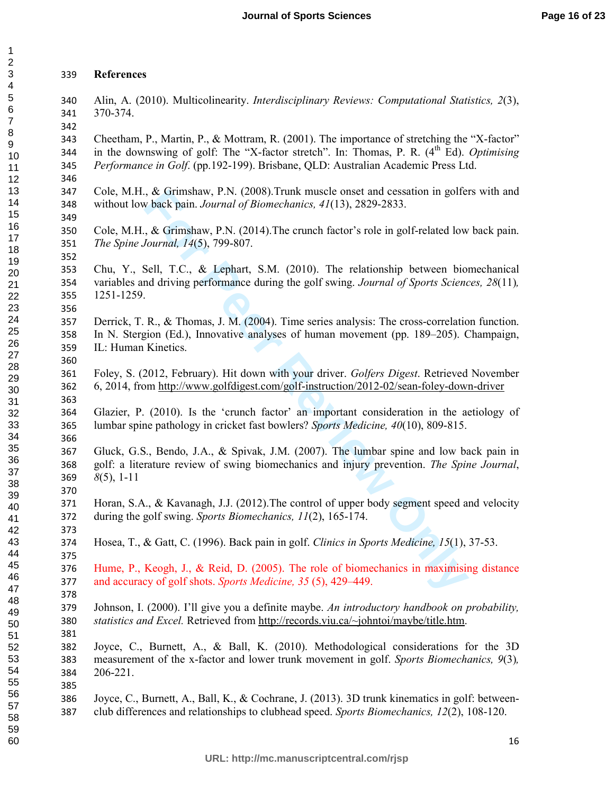#### **References**

Alin, A. (2010). Multicolinearity. *Interdisciplinary Reviews: Computational Statistics, 2*(3), 370-374. 

Cheetham, P., Martin, P., & Mottram, R. (2001). The importance of stretching the "X-factor" 344 in the downswing of golf: The "X-factor stretch". In: Thomas, P. R.  $(4<sup>th</sup> Ed)$ . *Optimising Performance in Golf*. (pp.192-199). Brisbane, QLD: Australian Academic Press Ltd.

Cole, M.H., & Grimshaw, P.N. (2008).Trunk muscle onset and cessation in golfers with and without low back pain. *Journal of Biomechanics, 41*(13), 2829-2833.

Cole, M.H., & Grimshaw, P.N. (2014).The crunch factor's role in golf-related low back pain. *The Spine Journal, 14*(5), 799-807.

Chu, Y., Sell, T.C., & Lephart, S.M. (2010). The relationship between biomechanical variables and driving performance during the golf swing. *Journal of Sports Sciences, 28*(11)*,*  1251-1259.

Derrick, T. R., & Thomas, J. M. (2004). Time series analysis: The cross-correlation function. In N. Stergion (Ed.), Innovative analyses of human movement (pp. 189–205). Champaign, IL: Human Kinetics.

Foley, S. (2012, February). Hit down with your driver. *Golfers Digest*. Retrieved November 6, 2014, from http://www.golfdigest.com/golf-instruction/2012-02/sean-foley-down-driver

Glazier, P. (2010). Is the 'crunch factor' an important consideration in the aetiology of lumbar spine pathology in cricket fast bowlers? *Sports Medicine, 40*(10), 809-815.

**Example 12.1** (2008). I runk muscle onset and cessation in golfered and consects and cessation of Biomechanics,  $4/(13)$ , 2829-2833.<br> **For Peer Review Only 12.1** (2014). The crunch factor's role in golf-related low<br> *Sourn* Gluck, G.S., Bendo, J.A., & Spivak, J.M. (2007). The lumbar spine and low back pain in golf: a literature review of swing biomechanics and injury prevention. *The Spine Journal*, *8*(5), 1-11

Horan, S.A., & Kavanagh, J.J. (2012).The control of upper body segment speed and velocity during the golf swing. *Sports Biomechanics, 11*(2), 165-174.

Hosea, T., & Gatt, C. (1996). Back pain in golf. *Clinics in Sports Medicine, 15*(1), 37-53.

Hume, P., Keogh, J., & Reid, D. (2005). The role of biomechanics in maximising distance and accuracy of golf shots. *Sports Medicine, 35* (5), 429–449.

Johnson, I. (2000). I'll give you a definite maybe. *An introductory handbook on probability, statistics and Excel.* Retrieved from http://records.viu.ca/~johntoi/maybe/title.htm. 

Joyce, C., Burnett, A., & Ball, K. (2010). Methodological considerations for the 3D measurement of the x-factor and lower trunk movement in golf. *Sports Biomechanics, 9*(3)*,*  206-221.

Joyce, C., Burnett, A., Ball, K., & Cochrane, J. (2013). 3D trunk kinematics in golf: between-club differences and relationships to clubhead speed. *Sports Biomechanics, 12*(2), 108-120.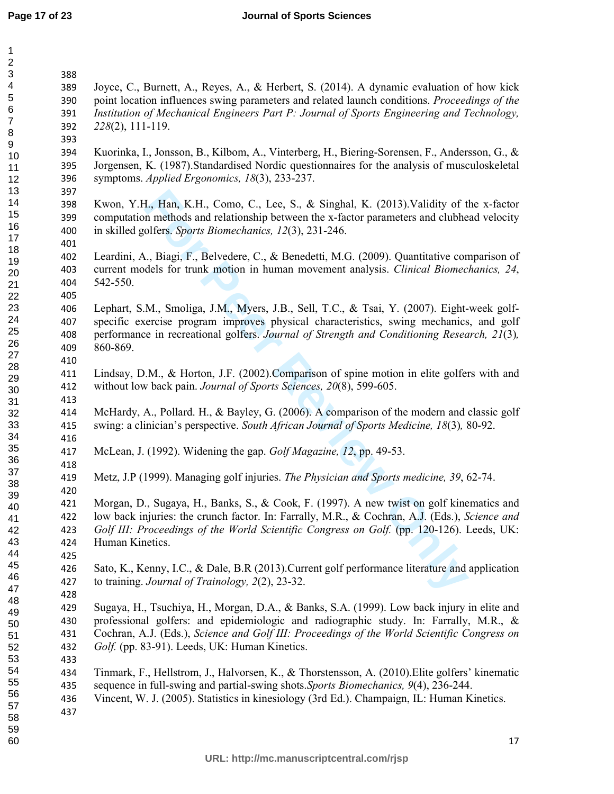#### **Journal of Sports Sciences**

| $\mathbf 2$               |     |                                                                                                |
|---------------------------|-----|------------------------------------------------------------------------------------------------|
| $\ensuremath{\mathsf{3}}$ | 388 |                                                                                                |
| $\overline{\mathbf{4}}$   | 389 | Joyce, C., Burnett, A., Reyes, A., & Herbert, S. (2014). A dynamic evaluation of how kick      |
| 5                         | 390 | point location influences swing parameters and related launch conditions. Proceedings of the   |
| 6                         | 391 | Institution of Mechanical Engineers Part P: Journal of Sports Engineering and Technology,      |
| $\overline{7}$            | 392 | $228(2)$ , 111-119.                                                                            |
| 8                         | 393 |                                                                                                |
| 9                         | 394 | Kuorinka, I., Jonsson, B., Kilbom, A., Vinterberg, H., Biering-Sorensen, F., Andersson, G., &  |
| 10<br>11                  | 395 | Jorgensen, K. (1987).Standardised Nordic questionnaires for the analysis of musculoskeletal    |
| 12                        | 396 | symptoms. Applied Ergonomics, 18(3), 233-237.                                                  |
| 13                        | 397 |                                                                                                |
| 14                        | 398 | Kwon, Y.H., Han, K.H., Como, C., Lee, S., & Singhal, K. (2013). Validity of the x-factor       |
| 15                        | 399 | computation methods and relationship between the x-factor parameters and clubhead velocity     |
| 16                        |     |                                                                                                |
| 17                        | 400 | in skilled golfers. Sports Biomechanics, 12(3), 231-246.                                       |
| 18                        | 401 |                                                                                                |
| 19                        | 402 | Leardini, A., Biagi, F., Belvedere, C., & Benedetti, M.G. (2009). Quantitative comparison of   |
| 20                        | 403 | current models for trunk motion in human movement analysis. Clinical Biomechanics, 24,         |
| 21                        | 404 | 542-550.                                                                                       |
| 22                        | 405 |                                                                                                |
| 23                        | 406 | Lephart, S.M., Smoliga, J.M., Myers, J.B., Sell, T.C., & Tsai, Y. (2007). Eight-week golf-     |
| 24                        | 407 | specific exercise program improves physical characteristics, swing mechanics, and golf         |
| 25                        | 408 | performance in recreational golfers. Journal of Strength and Conditioning Research, 21(3),     |
| 26                        | 409 | 860-869.                                                                                       |
| 27                        | 410 |                                                                                                |
| 28                        | 411 | Lindsay, D.M., & Horton, J.F. (2002). Comparison of spine motion in elite golfers with and     |
| 29                        | 412 | without low back pain. Journal of Sports Sciences, 20(8), 599-605.                             |
| 30                        | 413 |                                                                                                |
| 31<br>32                  | 414 | McHardy, A., Pollard. H., & Bayley, G. (2006). A comparison of the modern and classic golf     |
| 33                        | 415 | swing: a clinician's perspective. South African Journal of Sports Medicine, 18(3), 80-92.      |
| 34                        | 416 |                                                                                                |
| 35                        |     |                                                                                                |
| 36                        | 417 | McLean, J. (1992). Widening the gap. Golf Magazine, 12, pp. 49-53.                             |
| 37                        | 418 |                                                                                                |
| 38                        | 419 | Metz, J.P (1999). Managing golf injuries. The Physician and Sports medicine, 39, 62-74.        |
| 39                        | 420 |                                                                                                |
| 40                        | 421 | Morgan, D., Sugaya, H., Banks, S., & Cook, F. (1997). A new twist on golf kinematics and       |
| 41                        | 422 | low back injuries: the crunch factor. In: Farrally, M.R., & Cochran, A.J. (Eds.), Science and  |
| 42                        | 423 | Golf III: Proceedings of the World Scientific Congress on Golf. (pp. 120-126). Leeds, UK:      |
| 43                        | 424 | Human Kinetics.                                                                                |
| 44                        | 425 |                                                                                                |
| 45                        | 426 | Sato, K., Kenny, I.C., & Dale, B.R (2013). Current golf performance literature and application |
| 46                        | 427 | to training. Journal of Trainology, 2(2), 23-32.                                               |
| 47                        | 428 |                                                                                                |
| 48                        | 429 | Sugaya, H., Tsuchiya, H., Morgan, D.A., & Banks, S.A. (1999). Low back injury in elite and     |
| 49<br>50                  | 430 | professional golfers: and epidemiologic and radiographic study. In: Farrally, M.R., &          |
| 51                        | 431 | Cochran, A.J. (Eds.), Science and Golf III: Proceedings of the World Scientific Congress on    |
| 52                        | 432 | Golf. (pp. 83-91). Leeds, UK: Human Kinetics.                                                  |
| 53                        | 433 |                                                                                                |
| 54                        | 434 | Tinmark, F., Hellstrom, J., Halvorsen, K., & Thorstensson, A. (2010). Elite golfers' kinematic |
| 55                        | 435 | sequence in full-swing and partial-swing shots. Sports Biomechanics, 9(4), 236-244.            |
| 56                        | 436 | Vincent, W. J. (2005). Statistics in kinesiology (3rd Ed.). Champaign, IL: Human Kinetics.     |
| 57                        | 437 |                                                                                                |
| 58                        |     |                                                                                                |
| 59                        |     |                                                                                                |
| 60                        |     | 17                                                                                             |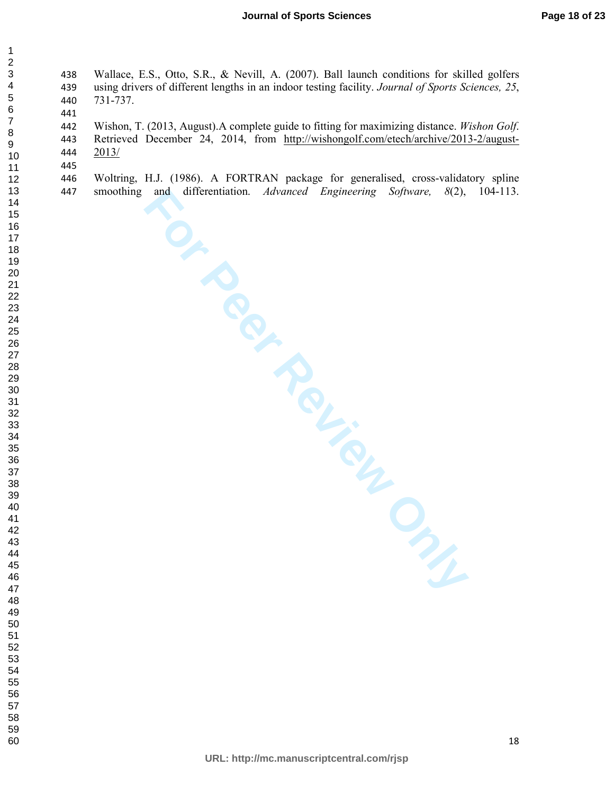Wallace, E.S., Otto, S.R., & Nevill, A. (2007). Ball launch conditions for skilled golfers using drivers of different lengths in an indoor testing facility. *Journal of Sports Sciences, 25*, 731-737.

Wishon, T. (2013, August).A complete guide to fitting for maximizing distance. *Wishon Golf*. Retrieved December 24, 2014, from http://wishongolf.com/etech/archive/2013-2/august-2013/

**FOR PROVIEW ONLY** Woltring, H.J. (1986). A FORTRAN package for generalised, cross-validatory spline smoothing and differentiation. *Advanced Engineering Software, 8*(2), 104-113.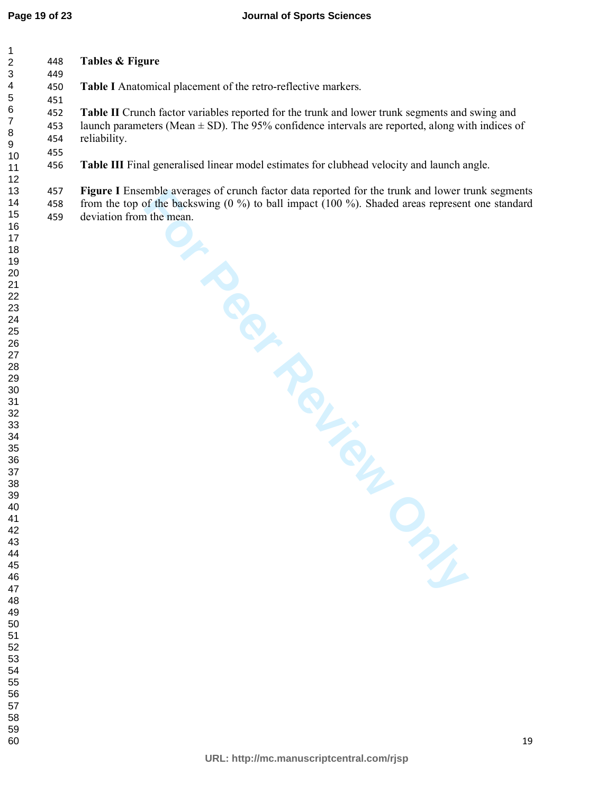| 448               | Tables & Figure                                                                                                                                                                                                                                                                                                                                                                                                                                                        |
|-------------------|------------------------------------------------------------------------------------------------------------------------------------------------------------------------------------------------------------------------------------------------------------------------------------------------------------------------------------------------------------------------------------------------------------------------------------------------------------------------|
| 450               | Table I Anatomical placement of the retro-reflective markers.                                                                                                                                                                                                                                                                                                                                                                                                          |
| 452<br>453<br>454 | Table II Crunch factor variables reported for the trunk and lower trunk segments and swing and<br>launch parameters (Mean $\pm$ SD). The 95% confidence intervals are reported, along with indices of<br>reliability.                                                                                                                                                                                                                                                  |
| 456               | Table III Final generalised linear model estimates for clubhead velocity and launch angle.                                                                                                                                                                                                                                                                                                                                                                             |
| 457<br>458<br>459 | Figure I Ensemble averages of crunch factor data reported for the trunk and lower trunk segments<br>from the top of the backswing $(0\%)$ to ball impact $(100\%)$ . Shaded areas represent one standard<br>deviation from the mean.<br>Solution of Children of Children of Children of Children of Children of Children of Children of Children of Children of Children of Children of Children of Children of Children of Children of Children of Children of Childr |
|                   |                                                                                                                                                                                                                                                                                                                                                                                                                                                                        |
|                   |                                                                                                                                                                                                                                                                                                                                                                                                                                                                        |
|                   |                                                                                                                                                                                                                                                                                                                                                                                                                                                                        |
|                   | 449<br>451<br>455                                                                                                                                                                                                                                                                                                                                                                                                                                                      |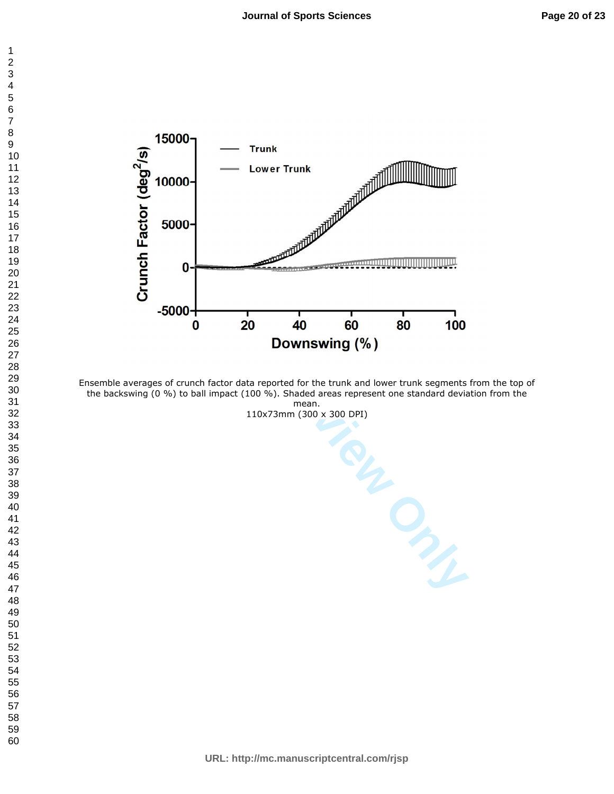



Ensemble averages of crunch factor data reported for the trunk and lower trunk segments from the top of the backswing (0 %) to ball impact (100 %). Shaded areas represent one standard deviation from the mean.

110x73mm (300 x 300 DPI)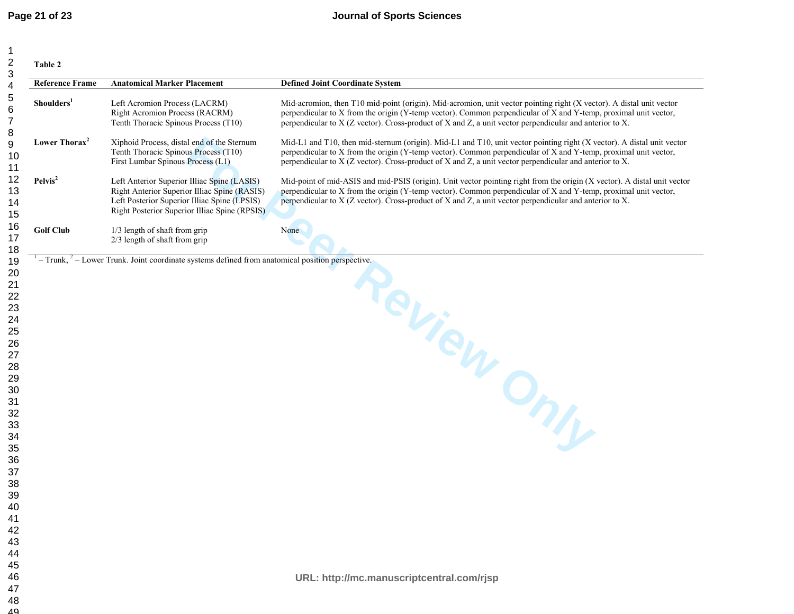| Shoulders <sup>1</sup><br>Lower Thorax <sup>2</sup> | Left Acromion Process (LACRM)<br>Right Acromion Process (RACRM)                                                                                                                              |                                                                                                                                                                                                                                                                                                                                                        |
|-----------------------------------------------------|----------------------------------------------------------------------------------------------------------------------------------------------------------------------------------------------|--------------------------------------------------------------------------------------------------------------------------------------------------------------------------------------------------------------------------------------------------------------------------------------------------------------------------------------------------------|
|                                                     | Tenth Thoracic Spinous Process (T10)                                                                                                                                                         | Mid-acromion, then T10 mid-point (origin). Mid-acromion, unit vector pointing right (X vector). A distal unit vector<br>perpendicular to X from the origin (Y-temp vector). Common perpendicular of X and Y-temp, proximal unit vector,<br>perpendicular to X (Z vector). Cross-product of X and Z, a unit vector perpendicular and anterior to X.     |
|                                                     | Xiphoid Process, distal end of the Sternum<br>Tenth Thoracic Spinous Process (T10)<br>First Lumbar Spinous Process (L1)                                                                      | Mid-L1 and T10, then mid-sternum (origin). Mid-L1 and T10, unit vector pointing right (X vector). A distal unit vector<br>perpendicular to X from the origin (Y-temp vector). Common perpendicular of X and Y-temp, proximal unit vector,<br>perpendicular to X (Z vector). Cross-product of X and Z, a unit vector perpendicular and anterior to X.   |
| Pelvis <sup>2</sup>                                 | Left Anterior Superior Illiac Spine (LASIS)<br>Right Anterior Superior Illiac Spine (RASIS)<br>Left Posterior Superior Illiac Spine (LPSIS)<br>Right Posterior Superior Illiac Spine (RPSIS) | Mid-point of mid-ASIS and mid-PSIS (origin). Unit vector pointing right from the origin (X vector). A distal unit vector<br>perpendicular to X from the origin (Y-temp vector). Common perpendicular of X and Y-temp, proximal unit vector,<br>perpendicular to X (Z vector). Cross-product of X and Z, a unit vector perpendicular and anterior to X. |
| <b>Golf Club</b>                                    | 1/3 length of shaft from grip<br>$2/3$ length of shaft from grip                                                                                                                             | None                                                                                                                                                                                                                                                                                                                                                   |
|                                                     | $T-Trunk$ , $T-Trunk$ . Joint coordinate systems defined from anatomical position perspective.                                                                                               |                                                                                                                                                                                                                                                                                                                                                        |
|                                                     |                                                                                                                                                                                              | Review Only                                                                                                                                                                                                                                                                                                                                            |
|                                                     |                                                                                                                                                                                              |                                                                                                                                                                                                                                                                                                                                                        |
|                                                     |                                                                                                                                                                                              |                                                                                                                                                                                                                                                                                                                                                        |
|                                                     |                                                                                                                                                                                              |                                                                                                                                                                                                                                                                                                                                                        |
|                                                     |                                                                                                                                                                                              |                                                                                                                                                                                                                                                                                                                                                        |
|                                                     |                                                                                                                                                                                              |                                                                                                                                                                                                                                                                                                                                                        |
|                                                     |                                                                                                                                                                                              |                                                                                                                                                                                                                                                                                                                                                        |
|                                                     |                                                                                                                                                                                              |                                                                                                                                                                                                                                                                                                                                                        |
|                                                     |                                                                                                                                                                                              |                                                                                                                                                                                                                                                                                                                                                        |
|                                                     |                                                                                                                                                                                              |                                                                                                                                                                                                                                                                                                                                                        |
|                                                     |                                                                                                                                                                                              |                                                                                                                                                                                                                                                                                                                                                        |
|                                                     |                                                                                                                                                                                              |                                                                                                                                                                                                                                                                                                                                                        |
|                                                     |                                                                                                                                                                                              |                                                                                                                                                                                                                                                                                                                                                        |
|                                                     |                                                                                                                                                                                              |                                                                                                                                                                                                                                                                                                                                                        |
|                                                     |                                                                                                                                                                                              |                                                                                                                                                                                                                                                                                                                                                        |
|                                                     |                                                                                                                                                                                              |                                                                                                                                                                                                                                                                                                                                                        |
|                                                     |                                                                                                                                                                                              |                                                                                                                                                                                                                                                                                                                                                        |
|                                                     |                                                                                                                                                                                              |                                                                                                                                                                                                                                                                                                                                                        |
|                                                     |                                                                                                                                                                                              |                                                                                                                                                                                                                                                                                                                                                        |
|                                                     |                                                                                                                                                                                              |                                                                                                                                                                                                                                                                                                                                                        |
|                                                     |                                                                                                                                                                                              |                                                                                                                                                                                                                                                                                                                                                        |
|                                                     |                                                                                                                                                                                              | URL: http://mc.manuscriptcentral.com/rjsp                                                                                                                                                                                                                                                                                                              |
|                                                     |                                                                                                                                                                                              |                                                                                                                                                                                                                                                                                                                                                        |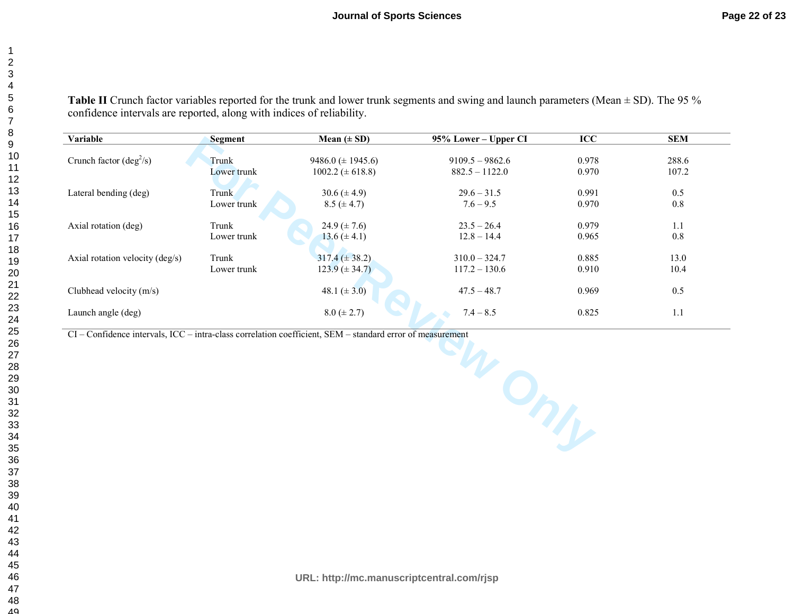**Table II** Crunch factor variables reported for the trunk and lower trunk segments and swing and launch parameters (Mean  $\pm$  SD). The 95 % confidence intervals are reported, along with indices of reliability.

| <b>Variable</b>                                                                                           | <b>Segment</b> | Mean $(\pm SD)$        | 95% Lower - Upper CI | ICC   | <b>SEM</b> |  |  |
|-----------------------------------------------------------------------------------------------------------|----------------|------------------------|----------------------|-------|------------|--|--|
| Crunch factor $(\text{deg}^2/s)$                                                                          |                |                        | $9109.5 - 9862.6$    |       |            |  |  |
|                                                                                                           | Trunk          | 9486.0 $(\pm 1945.6)$  |                      | 0.978 | 288.6      |  |  |
|                                                                                                           | Lower trunk    | $1002.2 \ (\pm 618.8)$ | $882.5 - 1122.0$     | 0.970 | 107.2      |  |  |
| Lateral bending (deg)                                                                                     | Trunk          | $30.6 (\pm 4.9)$       | $29.6 - 31.5$        | 0.991 | 0.5        |  |  |
|                                                                                                           | Lower trunk    | $8.5 (\pm 4.7)$        | $7.6 - 9.5$          | 0.970 | 0.8        |  |  |
| Axial rotation (deg)                                                                                      | Trunk          | 24.9 $(\pm 7.6)$       | $23.5 - 26.4$        | 0.979 | 1.1        |  |  |
|                                                                                                           | Lower trunk    | $13.6 (\pm 4.1)$       | $12.8 - 14.4$        | 0.965 | $0.8\,$    |  |  |
| Axial rotation velocity (deg/s)                                                                           | Trunk          | $317.4 (\pm 38.2)$     | $310.0 - 324.7$      | 0.885 | 13.0       |  |  |
|                                                                                                           | Lower trunk    | $123.9 \ (\pm 34.7)$   | $117.2 - 130.6$      | 0.910 | 10.4       |  |  |
| Clubhead velocity (m/s)                                                                                   |                | 48.1 $(\pm 3.0)$       | $47.5 - 48.7$        | 0.969 | 0.5        |  |  |
| Launch angle (deg)                                                                                        |                | $8.0 \ (\pm 2.7)$      | $7.4 - 8.5$          | 0.825 | 1.1        |  |  |
| CI - Confidence intervals, ICC - intra-class correlation coefficient, SEM - standard error of measurement |                |                        |                      |       |            |  |  |
|                                                                                                           |                |                        |                      |       |            |  |  |

**URL: http://mc.manuscriptcentral.com/rjsp**